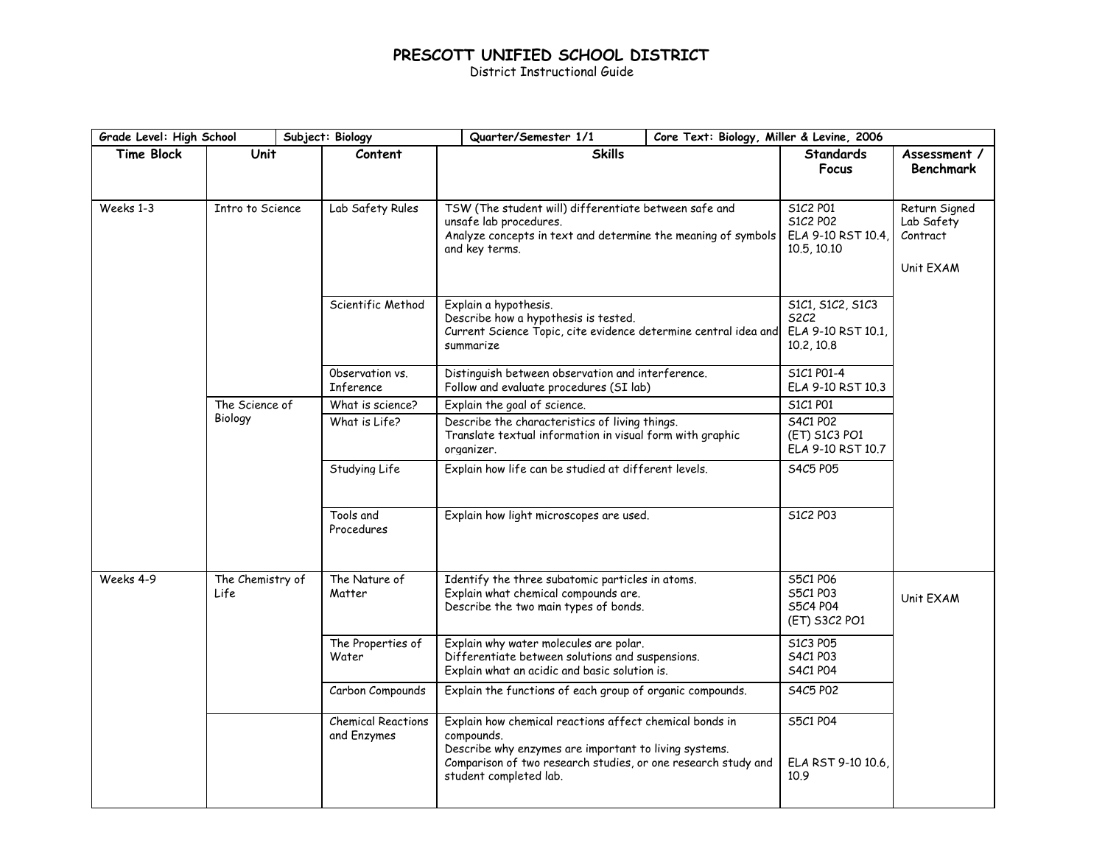## **PRESCOTT UNIFIED SCHOOL DISTRICT**

District Instructional Guide

| Grade Level: High School |                          | Subject: Biology                         | Quarter/Semester 1/1<br>Core Text: Biology, Miller & Levine, 2006                                                                                                                                                         |  |                                                                     |                                                      |
|--------------------------|--------------------------|------------------------------------------|---------------------------------------------------------------------------------------------------------------------------------------------------------------------------------------------------------------------------|--|---------------------------------------------------------------------|------------------------------------------------------|
| <b>Time Block</b>        | Unit                     | Content                                  | <b>Skills</b>                                                                                                                                                                                                             |  | <b>Standards</b><br>Focus                                           | Assessment /<br><b>Benchmark</b>                     |
| Weeks 1-3                | Intro to Science         | Lab Safety Rules                         | TSW (The student will) differentiate between safe and<br>unsafe lab procedures.<br>Analyze concepts in text and determine the meaning of symbols<br>and key terms.                                                        |  | S1C2 P01<br>S1C2 P02<br>ELA 9-10 RST 10.4,<br>10.5, 10.10           | Return Signed<br>Lab Safety<br>Contract<br>Unit EXAM |
|                          |                          | Scientific Method                        | Explain a hypothesis.<br>Describe how a hypothesis is tested.<br>Current Science Topic, cite evidence determine central idea and<br>summarize                                                                             |  | S1C1, S1C2, S1C3<br><b>S2C2</b><br>ELA 9-10 RST 10.1,<br>10.2, 10.8 |                                                      |
|                          |                          | Observation vs.<br>Inference             | Distinguish between observation and interference.<br>Follow and evaluate procedures (SI lab)                                                                                                                              |  | S1C1 P01-4<br>ELA 9-10 RST 10.3                                     |                                                      |
|                          | The Science of           | What is science?                         | Explain the goal of science.                                                                                                                                                                                              |  | S1C1 P01                                                            |                                                      |
|                          | Biology                  | What is Life?                            | Describe the characteristics of living things.<br>Translate textual information in visual form with graphic<br>organizer.                                                                                                 |  | S4C1 P02<br>(ET) S1C3 PO1<br>ELA 9-10 RST 10.7                      |                                                      |
|                          |                          | Studying Life                            | Explain how life can be studied at different levels.                                                                                                                                                                      |  | S4C5 P05                                                            |                                                      |
|                          |                          | Tools and<br>Procedures                  | Explain how light microscopes are used.                                                                                                                                                                                   |  | S1C2 P03                                                            |                                                      |
| Weeks 4-9                | The Chemistry of<br>Life | The Nature of<br>Matter                  | Identify the three subatomic particles in atoms.<br>Explain what chemical compounds are.<br>Describe the two main types of bonds.                                                                                         |  | S5C1 P06<br>S5C1 P03<br>S5C4 P04<br>(ET) S3C2 PO1                   | Unit EXAM                                            |
|                          |                          | The Properties of<br>Water               | Explain why water molecules are polar.<br>Differentiate between solutions and suspensions.<br>Explain what an acidic and basic solution is.                                                                               |  | S1C3 P05<br>S4C1 P03<br>S4C1 P04                                    |                                                      |
|                          |                          | Carbon Compounds                         | Explain the functions of each group of organic compounds.                                                                                                                                                                 |  | S4C5 P02                                                            |                                                      |
|                          |                          | <b>Chemical Reactions</b><br>and Enzymes | Explain how chemical reactions affect chemical bonds in<br>compounds.<br>Describe why enzymes are important to living systems.<br>Comparison of two research studies, or one research study and<br>student completed lab. |  | S5C1 P04<br>ELA RST 9-10 10.6<br>10.9                               |                                                      |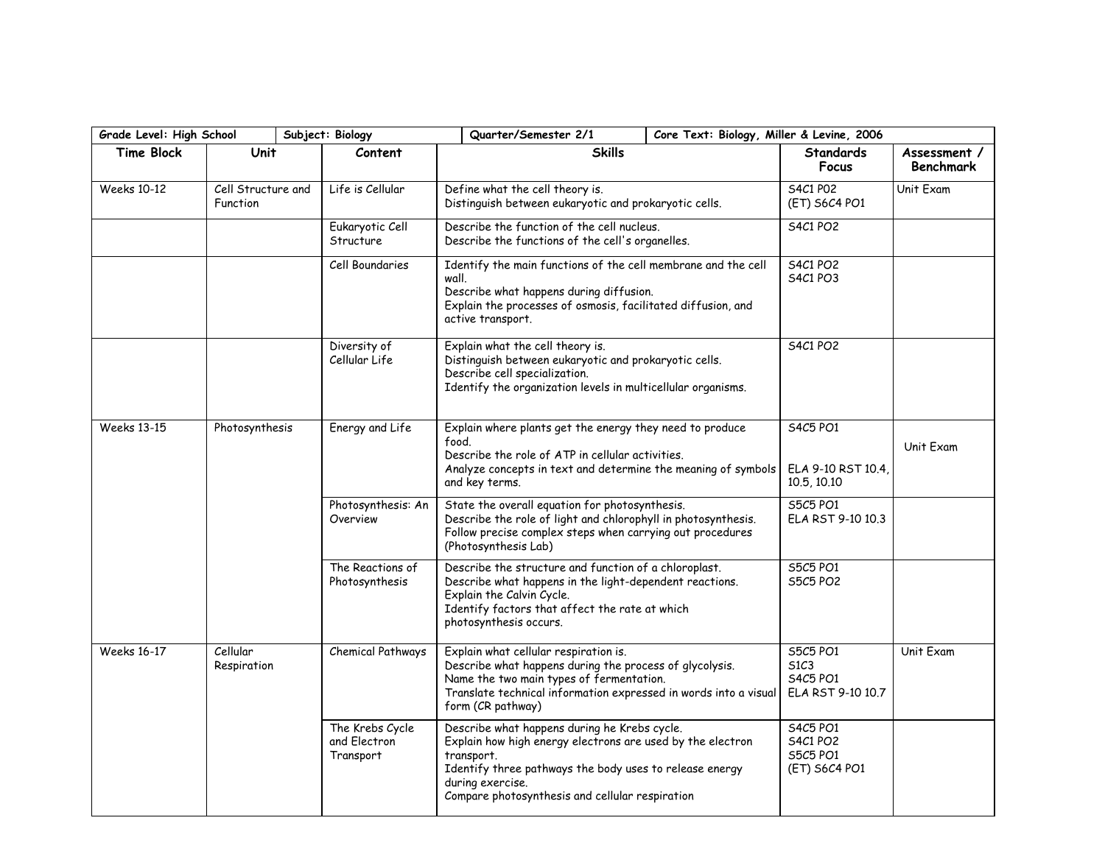| Grade Level: High School |                                | Subject: Biology                             | Quarter/Semester 2/1                                                                                                                                                                                                                                       | Core Text: Biology, Miller & Levine, 2006             |                                                               |                                  |
|--------------------------|--------------------------------|----------------------------------------------|------------------------------------------------------------------------------------------------------------------------------------------------------------------------------------------------------------------------------------------------------------|-------------------------------------------------------|---------------------------------------------------------------|----------------------------------|
| <b>Time Block</b>        | <b>Unit</b>                    | Content                                      | <b>Skills</b>                                                                                                                                                                                                                                              |                                                       | <b>Standards</b><br>Focus                                     | Assessment /<br><b>Benchmark</b> |
| <b>Weeks 10-12</b>       | Cell Structure and<br>Function | Life is Cellular                             | Define what the cell theory is.                                                                                                                                                                                                                            | Distinguish between eukaryotic and prokaryotic cells. |                                                               | Unit Exam                        |
|                          |                                | Eukaryotic Cell<br>Structure                 | Describe the function of the cell nucleus.<br>Describe the functions of the cell's organelles.                                                                                                                                                             |                                                       | <b>S4C1 PO2</b>                                               |                                  |
|                          |                                | Cell Boundaries                              | Identify the main functions of the cell membrane and the cell<br>wall.<br>Describe what happens during diffusion.<br>Explain the processes of osmosis, facilitated diffusion, and<br>active transport.                                                     |                                                       | <b>S4C1 PO2</b><br><b>S4C1 PO3</b>                            |                                  |
|                          |                                | Diversity of<br>Cellular Life                | Explain what the cell theory is.<br>Distinguish between eukaryotic and prokaryotic cells.<br>Describe cell specialization.<br>Identify the organization levels in multicellular organisms.                                                                 |                                                       | <b>S4C1 PO2</b>                                               |                                  |
| <b>Weeks 13-15</b>       | Photosynthesis                 | Energy and Life                              | Explain where plants get the energy they need to produce<br>food.<br>Describe the role of ATP in cellular activities.<br>Analyze concepts in text and determine the meaning of symbols<br>and key terms.                                                   |                                                       | S4C5 PO1<br>ELA 9-10 RST 10.4<br>10.5, 10.10                  | Unit Exam                        |
|                          |                                | Photosynthesis: An<br>Overview               | State the overall equation for photosynthesis.<br>Describe the role of light and chlorophyll in photosynthesis.<br>Follow precise complex steps when carrying out procedures<br>(Photosynthesis Lab)                                                       |                                                       | S5C5 PO1<br>ELA RST 9-10 10.3                                 |                                  |
|                          |                                | The Reactions of<br>Photosynthesis           | Describe the structure and function of a chloroplast.<br>Describe what happens in the light-dependent reactions.<br>Explain the Calvin Cycle.<br>Identify factors that affect the rate at which<br>photosynthesis occurs.                                  |                                                       | S5C5 PO1<br>S5C5 PO2                                          |                                  |
| <b>Weeks 16-17</b>       | Cellular<br>Respiration        | Chemical Pathways                            | Explain what cellular respiration is.<br>Describe what happens during the process of glycolysis.<br>Name the two main types of fermentation.<br>Translate technical information expressed in words into a visual<br>form (CR pathway)                      |                                                       | S5C5 PO1<br>51C <sub>3</sub><br>S4C5 PO1<br>ELA RST 9-10 10.7 | Unit Exam                        |
|                          |                                | The Krebs Cycle<br>and Electron<br>Transport | Describe what happens during he Krebs cycle.<br>Explain how high energy electrons are used by the electron<br>transport.<br>Identify three pathways the body uses to release energy<br>during exercise.<br>Compare photosynthesis and cellular respiration |                                                       | S4C5 PO1<br><b>S4C1 PO2</b><br>S5C5 PO1<br>(ET) S6C4 PO1      |                                  |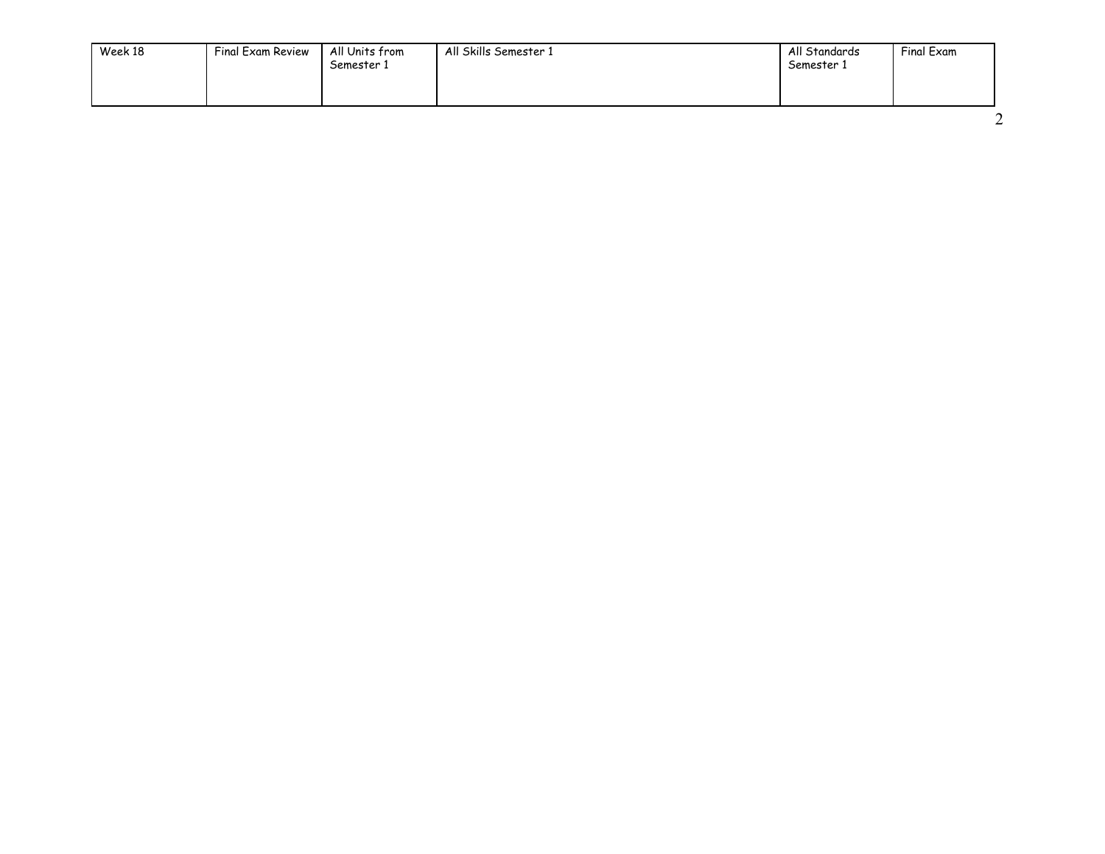| Week 18<br>Final Exam Review | All Units from<br>Semester 1 | All Skills Semester 1 | All Standards<br>Semester 1 | Final Exam |
|------------------------------|------------------------------|-----------------------|-----------------------------|------------|
|------------------------------|------------------------------|-----------------------|-----------------------------|------------|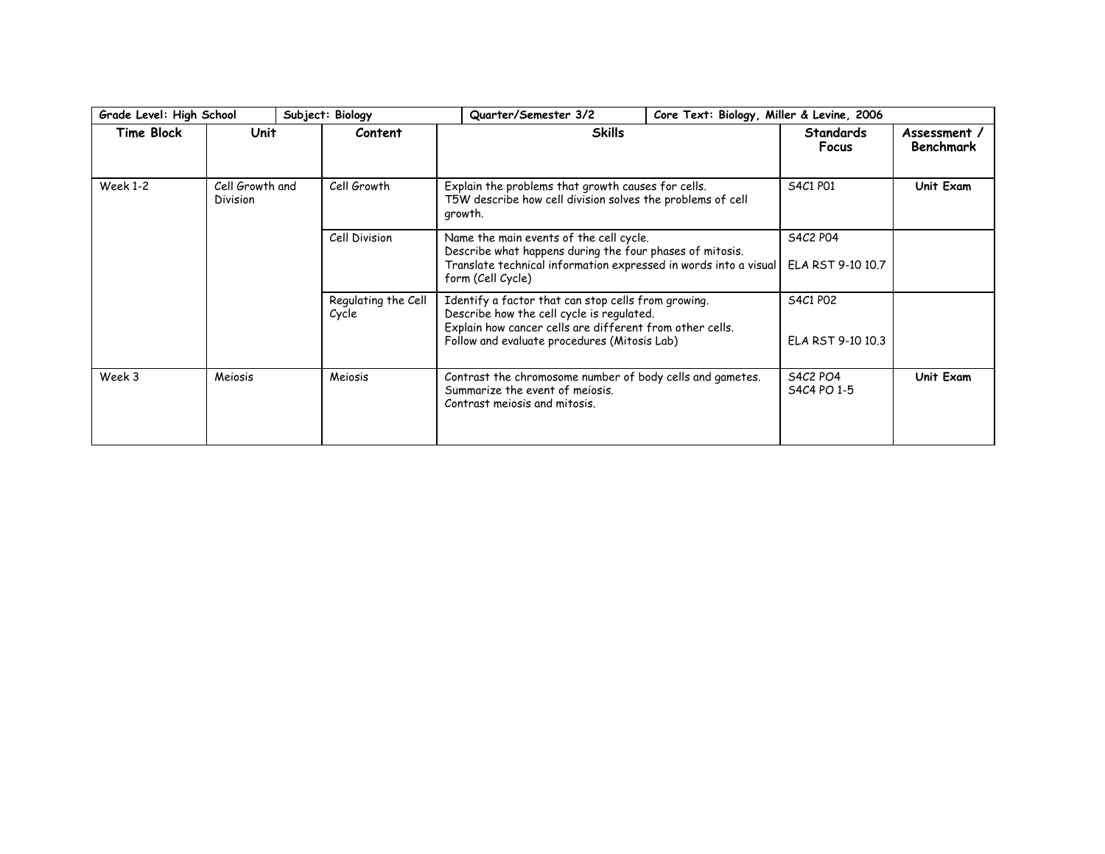| Grade Level: High School |                                                                                                                                                                                                               |  | Subject: Biology              | Quarter/Semester 3/2                                                                                                                                                                                         | Core Text: Biology, Miller & Levine, 2006 |                                |  |
|--------------------------|---------------------------------------------------------------------------------------------------------------------------------------------------------------------------------------------------------------|--|-------------------------------|--------------------------------------------------------------------------------------------------------------------------------------------------------------------------------------------------------------|-------------------------------------------|--------------------------------|--|
| Time Block               | Unit                                                                                                                                                                                                          |  | Content                       | <b>Skills</b>                                                                                                                                                                                                | <b>Standards</b><br>Focus                 | Assessment<br><b>Benchmark</b> |  |
| <b>Week 1-2</b>          | Cell Growth and<br><b>Division</b>                                                                                                                                                                            |  | Cell Growth                   | Explain the problems that growth causes for cells.<br>T5W describe how cell division solves the problems of cell<br>growth.                                                                                  | S4C1 P01                                  | Unit Exam                      |  |
|                          | Cell Division<br>Name the main events of the cell cycle.<br>Describe what happens during the four phases of mitosis.<br>Translate technical information expressed in words into a visual<br>form (Cell Cycle) |  | S4C2 P04<br>ELA RST 9-10 10.7 |                                                                                                                                                                                                              |                                           |                                |  |
|                          |                                                                                                                                                                                                               |  | Regulating the Cell<br>Cycle  | Identify a factor that can stop cells from growing.<br>Describe how the cell cycle is regulated.<br>Explain how cancer cells are different from other cells.<br>Follow and evaluate procedures (Mitosis Lab) | S4C1 P02<br>ELA RST 9-10 10.3             |                                |  |
| Week 3                   | Meiosis                                                                                                                                                                                                       |  | Meiosis                       | Contrast the chromosome number of body cells and gametes.<br>Summarize the event of meiosis.<br>Contrast mejosis and mitosis.                                                                                | <b>S4C2 PO4</b><br>S4C4 PO 1-5            | Unit Exam                      |  |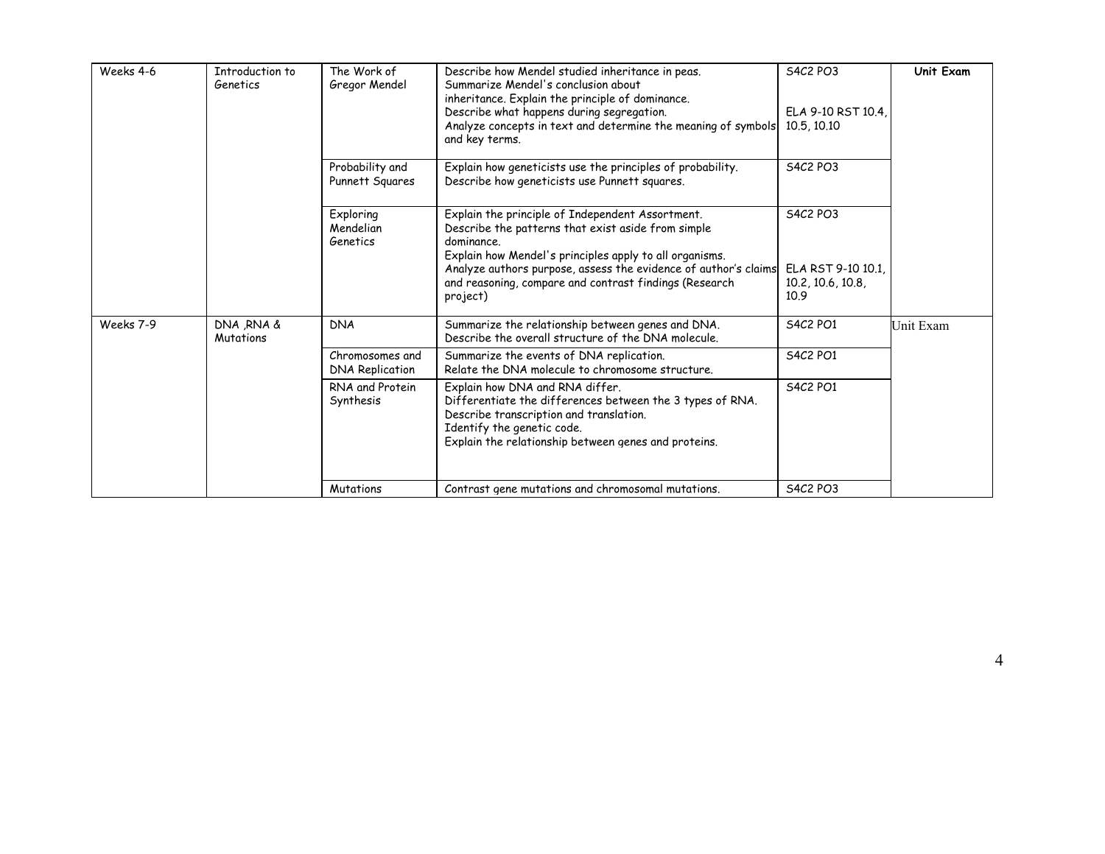| Weeks 4-6 | Introduction to<br>Genetics | The Work of<br>Gregor Mendel              | Describe how Mendel studied inheritance in peas.<br>Summarize Mendel's conclusion about<br>inheritance. Explain the principle of dominance.<br>Describe what happens during segregation.<br>Analyze concepts in text and determine the meaning of symbols<br>and key terms.                                              | S4C2 PO3<br>ELA 9-10 RST 10.4,<br>10.5, 10.10                     | Unit Exam |
|-----------|-----------------------------|-------------------------------------------|--------------------------------------------------------------------------------------------------------------------------------------------------------------------------------------------------------------------------------------------------------------------------------------------------------------------------|-------------------------------------------------------------------|-----------|
|           |                             | Probability and<br>Punnett Squares        | Explain how geneticists use the principles of probability.<br>Describe how geneticists use Punnett squares.                                                                                                                                                                                                              | <b>S4C2 PO3</b>                                                   |           |
|           |                             | Exploring<br>Mendelian<br>Genetics        | Explain the principle of Independent Assortment.<br>Describe the patterns that exist aside from simple<br>dominance.<br>Explain how Mendel's principles apply to all organisms.<br>Analyze authors purpose, assess the evidence of author's claims<br>and reasoning, compare and contrast findings (Research<br>project) | <b>S4C2 PO3</b><br>ELA RST 9-10 10.1<br>10.2, 10.6, 10.8,<br>10.9 |           |
| Weeks 7-9 | DNA RNA &<br>Mutations      | <b>DNA</b>                                | Summarize the relationship between genes and DNA.<br>Describe the overall structure of the DNA molecule.                                                                                                                                                                                                                 | <b>S4C2 PO1</b>                                                   | Unit Exam |
|           |                             | Chromosomes and<br><b>DNA Replication</b> | Summarize the events of DNA replication.<br>Relate the DNA molecule to chromosome structure.                                                                                                                                                                                                                             | S4C2 PO1                                                          |           |
|           |                             | RNA and Protein<br>Synthesis              | Explain how DNA and RNA differ.<br>Differentiate the differences between the 3 types of RNA.<br>Describe transcription and translation.<br>Identify the genetic code.<br>Explain the relationship between genes and proteins.                                                                                            | <b>S4C2 PO1</b>                                                   |           |
|           |                             | Mutations                                 | Contrast gene mutations and chromosomal mutations.                                                                                                                                                                                                                                                                       | <b>S4C2 PO3</b>                                                   |           |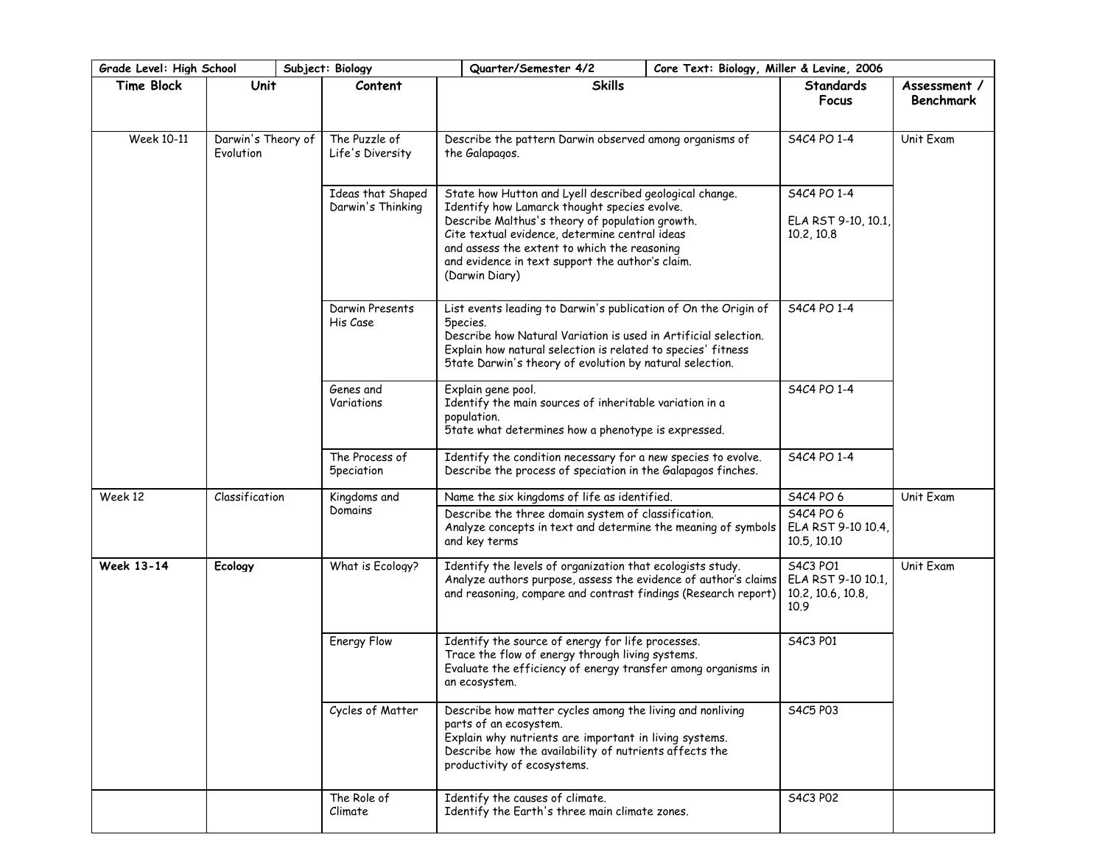|                   | Quarter/Semester 4/2<br>Grade Level: High School<br>Subject: Biology<br>Core Text: Biology, Miller & Levine, 2006 |                                        |                                                                                                                                                                                                                                                                                                                                    |  |                                                             |                                  |
|-------------------|-------------------------------------------------------------------------------------------------------------------|----------------------------------------|------------------------------------------------------------------------------------------------------------------------------------------------------------------------------------------------------------------------------------------------------------------------------------------------------------------------------------|--|-------------------------------------------------------------|----------------------------------|
| <b>Time Block</b> | Unit                                                                                                              | Content                                | <b>Skills</b>                                                                                                                                                                                                                                                                                                                      |  | <b>Standards</b><br>Focus                                   | Assessment /<br><b>Benchmark</b> |
| Week 10-11        | Darwin's Theory of<br>Evolution                                                                                   | The Puzzle of<br>Life's Diversity      | Describe the pattern Darwin observed among organisms of<br>the Galapagos.                                                                                                                                                                                                                                                          |  | S4C4 PO 1-4                                                 | Unit Exam                        |
|                   |                                                                                                                   | Ideas that Shaped<br>Darwin's Thinking | State how Hutton and Lyell described geological change.<br>Identify how Lamarck thought species evolve.<br>Describe Malthus's theory of population growth.<br>Cite textual evidence, determine central ideas<br>and assess the extent to which the reasoning<br>and evidence in text support the author's claim.<br>(Darwin Diary) |  | S4C4 PO 1-4<br>ELA RST 9-10, 10.1<br>10.2, 10.8             |                                  |
|                   |                                                                                                                   | Darwin Presents<br>His Case            | List events leading to Darwin's publication of On the Origin of<br>5 pecies.<br>Describe how Natural Variation is used in Artificial selection.<br>Explain how natural selection is related to species' fitness<br>5tate Darwin's theory of evolution by natural selection.                                                        |  | S4C4 PO 1-4                                                 |                                  |
|                   |                                                                                                                   | Genes and<br>Variations                | Explain gene pool.<br>Identify the main sources of inheritable variation in a<br>population.<br>5tate what determines how a phenotype is expressed.                                                                                                                                                                                |  | S4C4 PO 1-4                                                 |                                  |
|                   |                                                                                                                   | The Process of<br><b>5peciation</b>    | Identify the condition necessary for a new species to evolve.<br>Describe the process of speciation in the Galapagos finches.                                                                                                                                                                                                      |  | S4C4 PO 1-4                                                 |                                  |
| Week 12           | Classification                                                                                                    | Kingdoms and                           | Name the six kingdoms of life as identified.                                                                                                                                                                                                                                                                                       |  | S4C4 PO 6                                                   | Unit Exam                        |
|                   |                                                                                                                   | Domains                                | Describe the three domain system of classification.<br>Analyze concepts in text and determine the meaning of symbols<br>and key terms                                                                                                                                                                                              |  | S4C4 PO 6<br>ELA RST 9-10 10.4,<br>10.5, 10.10              |                                  |
| <b>Week 13-14</b> | Ecology                                                                                                           | What is Ecology?                       | Identify the levels of organization that ecologists study.<br>Analyze authors purpose, assess the evidence of author's claims<br>and reasoning, compare and contrast findings (Research report)                                                                                                                                    |  | S4C3 PO1<br>ELA RST 9-10 10.1,<br>10.2, 10.6, 10.8,<br>10.9 | Unit Exam                        |
|                   |                                                                                                                   | Energy Flow                            | Identify the source of energy for life processes.<br>Trace the flow of energy through living systems.<br>Evaluate the efficiency of energy transfer among organisms in<br>an ecosystem.                                                                                                                                            |  | S4C3 P01                                                    |                                  |
|                   |                                                                                                                   | Cycles of Matter                       | Describe how matter cycles among the living and nonliving<br>parts of an ecosystem.<br>Explain why nutrients are important in living systems.<br>Describe how the availability of nutrients affects the<br>productivity of ecosystems.                                                                                             |  | S4C5 P03                                                    |                                  |
|                   |                                                                                                                   | The Role of<br>Climate                 | Identify the causes of climate.<br>Identify the Earth's three main climate zones.                                                                                                                                                                                                                                                  |  | S4C3 P02                                                    |                                  |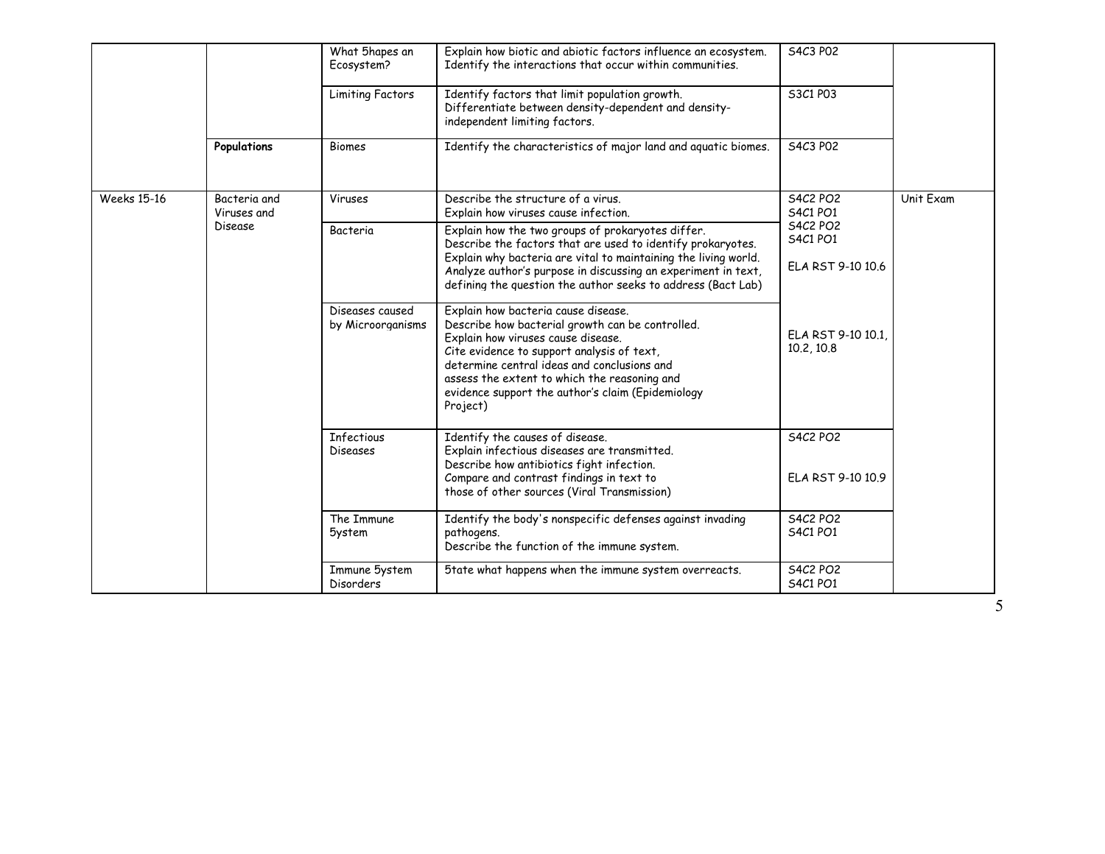|                    |                             | What 5hapes an<br>Ecosystem?         | Explain how biotic and abiotic factors influence an ecosystem.<br>Identify the interactions that occur within communities.                                                                                                                                                                                                                  | S4C3 P02                             |           |
|--------------------|-----------------------------|--------------------------------------|---------------------------------------------------------------------------------------------------------------------------------------------------------------------------------------------------------------------------------------------------------------------------------------------------------------------------------------------|--------------------------------------|-----------|
|                    |                             | <b>Limiting Factors</b>              | Identify factors that limit population growth.<br>Differentiate between density-dependent and density-<br>independent limiting factors.                                                                                                                                                                                                     | S3C1 P03                             |           |
|                    | Populations                 | <b>Biomes</b>                        | Identify the characteristics of major land and aquatic biomes.                                                                                                                                                                                                                                                                              | S4C3 P02                             |           |
| <b>Weeks 15-16</b> | Bacteria and<br>Viruses and | Viruses                              | Describe the structure of a virus.<br>Explain how viruses cause infection.                                                                                                                                                                                                                                                                  | <b>S4C2 PO2</b><br><b>S4C1 PO1</b>   | Unit Exam |
|                    | Disease                     | Bacteria                             | Explain how the two groups of prokaryotes differ.<br>Describe the factors that are used to identify prokaryotes.                                                                                                                                                                                                                            | <b>S4C2 PO2</b><br><b>S4C1 PO1</b>   |           |
|                    |                             |                                      | Explain why bacteria are vital to maintaining the living world.<br>Analyze author's purpose in discussing an experiment in text,<br>defining the question the author seeks to address (Bact Lab)                                                                                                                                            | ELA RST 9-10 10.6                    |           |
|                    |                             | Diseases caused<br>by Microorganisms | Explain how bacteria cause disease.<br>Describe how bacterial growth can be controlled.<br>Explain how viruses cause disease.<br>Cite evidence to support analysis of text,<br>determine central ideas and conclusions and<br>assess the extent to which the reasoning and<br>evidence support the author's claim (Epidemiology<br>Project) | ELA RST 9-10 10.1.<br>10.2, 10.8     |           |
|                    |                             | Infectious<br>Diseases               | Identify the causes of disease.<br>Explain infectious diseases are transmitted.<br>Describe how antibiotics fight infection.<br>Compare and contrast findings in text to<br>those of other sources (Viral Transmission)                                                                                                                     | <b>S4C2 PO2</b><br>ELA RST 9-10 10.9 |           |
|                    |                             | The Immune<br><b>5ystem</b>          | Identify the body's nonspecific defenses against invading<br>pathogens.<br>Describe the function of the immune system.                                                                                                                                                                                                                      | <b>S4C2 PO2</b><br><b>S4C1 PO1</b>   |           |
|                    |                             | Immune 5ystem<br>Disorders           | 5tate what happens when the immune system overreacts.                                                                                                                                                                                                                                                                                       | <b>S4C2 PO2</b><br><b>S4C1 PO1</b>   |           |